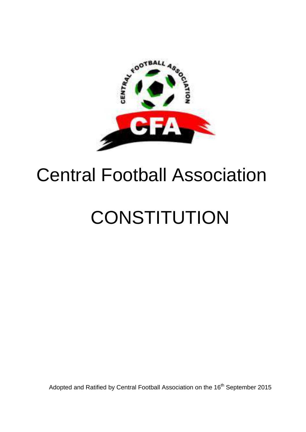

# Central Football Association

# **CONSTITUTION**

Adopted and Ratified by Central Football Association on the 16<sup>th</sup> September 2015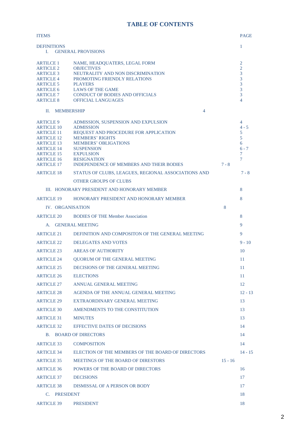# **TABLE OF CONTENTS**

| <b>ITEMS</b>                                                                                                                                                        |                                                                                                                                                                                                                                             |           | <b>PAGE</b>                                                    |  |
|---------------------------------------------------------------------------------------------------------------------------------------------------------------------|---------------------------------------------------------------------------------------------------------------------------------------------------------------------------------------------------------------------------------------------|-----------|----------------------------------------------------------------|--|
| <b>DEFINITIONS</b><br>$\mathbf{1}$<br><b>GENERAL PROVISIONS</b><br>L.                                                                                               |                                                                                                                                                                                                                                             |           |                                                                |  |
| <b>ARTILCE 1</b><br><b>ARTICLE 2</b><br><b>ARTICLE 3</b><br><b>ARTICLE 4</b><br><b>ARTICLE 5</b><br><b>ARTICLE 6</b><br><b>ARTICLE 7</b><br><b>ARTICLE 8</b>        | NAME, HEADQUATERS, LEGAL FORM<br><b>OBJECTIVES</b><br>NEUTRALITY AND NON DISCRIMINATION<br>PROMOTING FRIENDLY RELATIONS<br><b>PLAYERS</b><br><b>LAWS OF THE GAME</b><br><b>CONDUCT OF BODIES AND OFFICIALS</b><br><b>OFFICIAL LANGUAGES</b> |           | 2<br>$\overline{2}$<br>3<br>3<br>3<br>3<br>3<br>$\overline{4}$ |  |
| $\Pi$ .                                                                                                                                                             | <b>MEMBERSHIP</b><br>4                                                                                                                                                                                                                      |           |                                                                |  |
| <b>ARTICLE 9</b><br><b>ARTICLE 10</b><br><b>ARTICLE 11</b><br><b>ARTICLE 12</b><br><b>ARTICLE 13</b><br><b>ARTICLE 14</b><br><b>ARTICLE 15</b><br><b>ARTICLE 16</b> | ADMISSION, SUSPENSION AND EXPULSION<br><b>ADMISSION</b><br>REQUEST AND PROCEDURE FOR APPLICATION<br><b>MEMBERS' RIGHTS</b><br><b>MEMBERS' OBLIGATIONS</b><br><b>SUSPENSION</b><br><b>EXPULSION</b><br><b>RESIGNATION</b>                    |           | 4<br>$4 - 5$<br>5<br>5<br>6<br>$6 - 7$<br>7<br>7               |  |
| <b>ARTICLE 17</b><br><b>ARTICLE 18</b>                                                                                                                              | <b>INDEPENDENCE OF MEMBERS AND THEIR BODIES</b><br>STATUS OF CLUBS, LEAGUES, REGIONAL ASSOCIATIONS AND                                                                                                                                      | $7 - 8$   | $7 - 8$                                                        |  |
|                                                                                                                                                                     | <b>OTHER GROUPS OF CLUBS</b>                                                                                                                                                                                                                |           |                                                                |  |
|                                                                                                                                                                     | III. HONORARY PRESIDENT AND HONORARY MEMBER                                                                                                                                                                                                 |           | 8                                                              |  |
| <b>ARTICLE 19</b>                                                                                                                                                   | HONORARY PRESIDENT AND HONORARY MEMBER                                                                                                                                                                                                      |           | 8                                                              |  |
| IV. ORGANISATION                                                                                                                                                    |                                                                                                                                                                                                                                             | 8         |                                                                |  |
| <b>ARTICLE 20</b>                                                                                                                                                   | <b>BODIES OF THE Member Association</b>                                                                                                                                                                                                     |           | 8                                                              |  |
| <b>GENERAL MEETING</b><br>A.                                                                                                                                        |                                                                                                                                                                                                                                             | 9         |                                                                |  |
| <b>ARTICLE 21</b>                                                                                                                                                   | DEFINITION AND COMPOSITON OF THE GENERAL MEETING                                                                                                                                                                                            |           | 9                                                              |  |
| <b>ARTICLE 22</b>                                                                                                                                                   | DELEGATES AND VOTES                                                                                                                                                                                                                         |           | $9 - 10$                                                       |  |
| <b>ARTICLE 23</b>                                                                                                                                                   | <b>AREAS OF AUTHORITY</b>                                                                                                                                                                                                                   |           | 10                                                             |  |
| <b>ARTICLE 24</b>                                                                                                                                                   | <b>OUORUM OF THE GENERAL MEETING</b>                                                                                                                                                                                                        |           | 11                                                             |  |
| <b>ARTICLE 25</b>                                                                                                                                                   | DECISIONS OF THE GENERAL MEETING                                                                                                                                                                                                            |           | 11                                                             |  |
| <b>ARTICLE 26</b>                                                                                                                                                   | <b>ELECTIONS</b>                                                                                                                                                                                                                            |           | 11                                                             |  |
| <b>ARTICLE 27</b>                                                                                                                                                   | <b>ANNUAL GENERAL MEETING</b>                                                                                                                                                                                                               |           | 12                                                             |  |
| <b>ARTICLE 28</b>                                                                                                                                                   | AGENDA OF THE ANNUAL GENERAL MEETING                                                                                                                                                                                                        |           | $12 - 13$                                                      |  |
| <b>ARTICLE 29</b>                                                                                                                                                   | EXTRAORDINARY GENERAL MEETING                                                                                                                                                                                                               |           | 13                                                             |  |
| <b>ARTICLE 30</b>                                                                                                                                                   | AMENDMENTS TO THE CONSTITUTION                                                                                                                                                                                                              |           | 13                                                             |  |
| <b>ARTICLE 31</b>                                                                                                                                                   | <b>MINUTES</b>                                                                                                                                                                                                                              |           | 13                                                             |  |
| <b>ARTICLE 32</b>                                                                                                                                                   | <b>EFFECTIVE DATES OF DECISIONS</b>                                                                                                                                                                                                         |           | 14                                                             |  |
|                                                                                                                                                                     | <b>B. BOARD OF DIRECTORS</b>                                                                                                                                                                                                                |           | 14                                                             |  |
| <b>ARTICLE 33</b>                                                                                                                                                   | <b>COMPOSITION</b>                                                                                                                                                                                                                          |           | 14                                                             |  |
| <b>ARTICLE 34</b>                                                                                                                                                   | ELECTION OF THE MEMBERS OF THE BOARD OF DIRECTORS                                                                                                                                                                                           |           | $14 - 15$                                                      |  |
| <b>ARTICLE 35</b>                                                                                                                                                   | <b>MEETINGS OF THE BOARD OF DIRESTORS</b>                                                                                                                                                                                                   | $15 - 16$ |                                                                |  |
| <b>ARTICLE 36</b>                                                                                                                                                   | <b>POWERS OF THE BOARD OF DIRECTORS</b>                                                                                                                                                                                                     |           | 16                                                             |  |
| <b>ARTICLE 37</b>                                                                                                                                                   | <b>DECISIONS</b>                                                                                                                                                                                                                            |           | 17                                                             |  |
| <b>ARTICLE 38</b>                                                                                                                                                   | DISMISSAL OF A PERSON OR BODY                                                                                                                                                                                                               |           | 17                                                             |  |
| C. PRESIDENT                                                                                                                                                        |                                                                                                                                                                                                                                             |           | 18                                                             |  |
| <b>ARTICLE 39</b>                                                                                                                                                   | <b>PRESIDENT</b>                                                                                                                                                                                                                            |           | 18                                                             |  |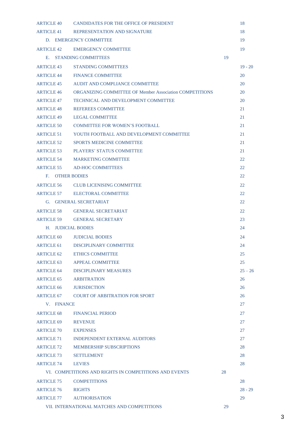|                        | ARTICLE 40 CANDIDATES FOR THE OFFICE OF PRESIDENT              |    | 18        |
|------------------------|----------------------------------------------------------------|----|-----------|
|                        | ARTICLE 41 REPRESENTATION AND SIGNATURE                        |    | 18        |
|                        | D. EMERGENCY COMMITTEE                                         |    | 19        |
|                        | ARTICLE 42 EMERGENCY COMMITTEE                                 |    | 19        |
|                        | E. STANDING COMMITTEES                                         | 19 |           |
| ARTICLE 43             | <b>STANDING COMMITTEES</b>                                     |    | $19 - 20$ |
| ARTICLE 44             | <b>FINANCE COMMITTEE</b>                                       |    | 20        |
| <b>ARTICLE 45</b>      | AUDIT AND COMPLIANCE COMMITTEE                                 |    | 20        |
| <b>ARTICLE 46</b>      | <b>ORGANIZING COMMITTEE OF Member Association COMPETITIONS</b> |    | 20        |
| <b>ARTICLE 47</b>      | TECHNICAL AND DEVELOPMENT COMMITTEE                            |    | 20        |
| <b>ARTICLE 48</b>      | <b>REFEREES COMMITTEE</b>                                      |    | 21        |
| <b>ARTICLE 49</b>      | <b>LEGAL COMMITTEE</b>                                         |    | 21        |
| ARTICLE 50             | <b>COMMITTEE FOR WOMEN'S FOOTBALL</b>                          |    | 21        |
| ARTICLE 51             | YOUTH FOOTBALL AND DEVELOPMENT COMMITTEE                       |    | 21        |
| <b>ARTICLE 52</b>      | <b>SPORTS MEDICINE COMMITTEE</b>                               |    | 21        |
| <b>ARTICLE 53</b>      | <b>PLAYERS' STATUS COMMITTEE</b>                               |    | 21        |
|                        | ARTICLE 54 MARKETING COMMITTEE                                 |    | 22        |
|                        | ARTICLE 55 AD-HOC COMMITTEES                                   |    | 22        |
| <b>F. OTHER BODIES</b> |                                                                |    | 22        |
|                        | ARTICLE 56 CLUB LICENISING COMMITTEE                           |    | 22        |
|                        | ARTICLE 57 ELECTORAL COMMITTEE                                 |    | 22        |
|                        | G. GENERAL SECRETARIAT                                         |    | 22        |
|                        | ARTICLE 58 GENERAL SECRETARIAT                                 |    | 22        |
|                        | ARTICLE 59 GENERAL SECRETARY                                   |    | 23        |
| H. JUDICIAL BODIES     |                                                                |    | 24        |
|                        | ARTICLE 60 JUDICIAL BODIES                                     |    | 24        |
|                        | ARTICLE 61 DISCIPLINARY COMMITTEE                              |    | 24        |
| <b>ARTICLE 62</b>      | <b>ETHICS COMMITTEE</b>                                        |    | 25        |
| ARTICLE 63             | <b>APPEAL COMMITTEE</b>                                        |    | 25        |
| ARTICLE 64             | DISCIPLINARY MEASURES                                          |    | $25 - 26$ |
| ARTICLE 65             | <b>ARBITRATION</b>                                             |    | 26        |
| <b>ARTICLE 66</b>      | <b>JURISDICTION</b>                                            |    | 26        |
|                        | ARTICLE 67 COURT OF ARBITRATION FOR SPORT                      |    | 26        |
| V. FINANCE             |                                                                |    | 27        |
| <b>ARTICLE 68</b>      | <b>FINANCIAL PERIOD</b>                                        |    | 27        |
| <b>ARTICLE 69</b>      | <b>REVENUE</b>                                                 |    | 27        |
| <b>ARTICLE 70</b>      | <b>EXPENSES</b>                                                |    | 27        |
| <b>ARTICLE 71</b>      | <b>INDEPENDENT EXTERNAL AUDITORS</b>                           |    | 27        |
| <b>ARTICLE 72</b>      | <b>MEMBERSHIP SUBSCRIPTIONS</b>                                |    | 28        |
| <b>ARTICLE 73</b>      | <b>SETTLEMENT</b>                                              |    | 28        |
| <b>ARTICLE 74</b>      | <b>LEVIES</b>                                                  |    | 28        |
|                        | VI. COMPETITIONS AND RIGHTS IN COMPETITIONS AND EVENTS         | 28 |           |
| <b>ARTICLE 75</b>      | <b>COMPETITIONS</b>                                            |    | 28        |
| <b>ARTICLE 76</b>      | <b>RIGHTS</b>                                                  |    | $28 - 29$ |
| <b>ARTICLE 77</b>      | <b>AUTHORISATION</b>                                           |    | 29        |
|                        | VII. INTERNATIONAL MATCHES AND COMPETITIONS                    | 29 |           |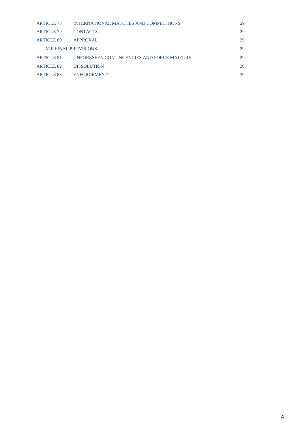| <b>ARTICLE 78</b> | INTERNATIONAL MATCHES AND COMPETITIONS     | 29 |
|-------------------|--------------------------------------------|----|
| <b>ARTICLE 79</b> | <b>CONTACTS</b>                            | 29 |
| <b>ARTICLE 80</b> | <b>APPROVAL</b>                            | 29 |
|                   | <b>VIII.FINAL PROVISIONS</b>               | 29 |
| <b>ARTICLE 81</b> | UNFORESEEN CONTINGENCIES AND FORCE MAJEURE | 29 |
| ARTICLE 82        | <b>DISSOLUTION</b>                         | 30 |
| <b>ARTICLE 83</b> | <b>ENFORCEMENT</b>                         | 30 |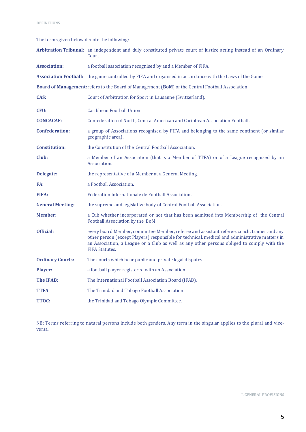The terms given below denote the following:

|                         | Arbitration Tribunal: an independent and duly constituted private court of justice acting instead of an Ordinary<br>Court.                                                                                                                                                                                           |
|-------------------------|----------------------------------------------------------------------------------------------------------------------------------------------------------------------------------------------------------------------------------------------------------------------------------------------------------------------|
| <b>Association:</b>     | a football association recognised by and a Member of FIFA.                                                                                                                                                                                                                                                           |
|                         | <b>Association Football:</b> the game controlled by FIFA and organised in accordance with the Laws of the Game.                                                                                                                                                                                                      |
|                         | Board of Management: refers to the Board of Management (BoM) of the Central Football Association.                                                                                                                                                                                                                    |
| CAS:                    | Court of Arbitration for Sport in Lausanne (Switzerland).                                                                                                                                                                                                                                                            |
| CFU:                    | Caribbean Football Union.                                                                                                                                                                                                                                                                                            |
| <b>CONCACAF:</b>        | Confederation of North, Central American and Caribbean Association Football.                                                                                                                                                                                                                                         |
| <b>Confederation:</b>   | a group of Associations recognised by FIFA and belonging to the same continent (or similar<br>geographic area).                                                                                                                                                                                                      |
| <b>Constitution:</b>    | the Constitution of the Central Football Association.                                                                                                                                                                                                                                                                |
| Club:                   | a Member of an Association (that is a Member of TTFA) or of a League recognised by an<br>Association.                                                                                                                                                                                                                |
| <b>Delegate:</b>        | the representative of a Member at a General Meeting.                                                                                                                                                                                                                                                                 |
| FA:                     | a Football Association.                                                                                                                                                                                                                                                                                              |
| <b>FIFA:</b>            | Fédération Internationale de Football Association.                                                                                                                                                                                                                                                                   |
| <b>General Meeting:</b> | the supreme and legislative body of Central Football Association.                                                                                                                                                                                                                                                    |
| <b>Member:</b>          | a Cub whether incorporated or not that has been admitted into Membership of the Central<br>Football Association by the BoM                                                                                                                                                                                           |
| Official:               | every board Member, committee Member, referee and assistant referee, coach, trainer and any<br>other person (except Players) responsible for technical, medical and administrative matters in<br>an Association, a League or a Club as well as any other persons obliged to comply with the<br><b>FIFA Statutes.</b> |
| <b>Ordinary Courts:</b> | The courts which hear public and private legal disputes.                                                                                                                                                                                                                                                             |
| Player:                 | a football player registered with an Association.                                                                                                                                                                                                                                                                    |
| <b>The IFAB:</b>        | The International Football Association Board (IFAB).                                                                                                                                                                                                                                                                 |
| TTFA                    | The Trinidad and Tobago Football Association.                                                                                                                                                                                                                                                                        |
| TTOC:                   | the Trinidad and Tobago Olympic Committee.                                                                                                                                                                                                                                                                           |

NB: Terms referring to natural persons include both genders. Any term in the singular applies to the plural and viceversa.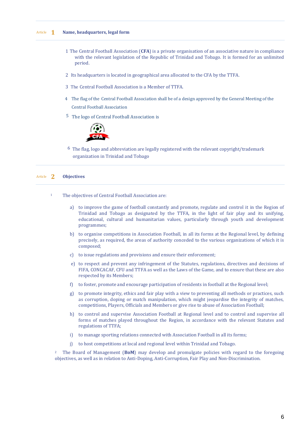# Article **1 Name, headquarters, legal form**

- 1 The Central Football Association (**CFA**) is a private organisation of an associative nature in compliance with the relevant legislation of the Republic of Trinidad and Tobago. It is formed for an unlimited period.
- 2 Its headquarters is located in geographical area allocated to the CFA by the TTFA.
- 3 The Central Football Association is a Member of TTFA.
- 4 The flag of the Central Football Association shall be of a design approved by the General Meeting of the Central Football Association
- 5 The logo of Central Football Association is



 $6$  The flag, logo and abbreviation are legally registered with the relevant copyright/trademark organization in Trinidad and Tobago

# Article **2 Objectives**

- <sup>1</sup> The objectives of Central Football Association are:
	- a) to improve the game of football constantly and promote, regulate and control it in the Region of Trinidad and Tobago as designated by the TTFA, in the light of fair play and its unifying, educational, cultural and humanitarian values, particularly through youth and development programmes;
	- b) to organise competitions in Association Football, in all its forms at the Regional level, by defining precisely, as required, the areas of authority conceded to the various organizations of which it is composed;
	- c) to issue regulations and provisions and ensure their enforcement;
	- e) to respect and prevent any infringement of the Statutes, regulations, directives and decisions of FIFA, CONCACAF, CFU and TTFA as well as the Laws of the Game, and to ensure that these are also respected by its Members;
	- f) to foster, promote and encourage participation of residents in football at the Regional level;
	- g) to promote integrity, ethics and fair play with a view to preventing all methods or practices, such as corruption, doping or match manipulation, which might jeopardise the integrity of matches, competitions, Players, Officials and Members or give rise to abuse of Association Football;
	- h) to control and supervise Association Football at Regional level and to control and supervise all forms of matches played throughout the Region, in accordance with the relevant Statutes and regulations of TTFA;
	- i) to manage sporting relations connected with Association Football in all its forms;
	- j) to host competitions at local and regional level within Trinidad and Tobago.

<sup>2</sup> The Board of Management (**BoM**) may develop and promulgate policies with regard to the foregoing objectives, as well as in relation to Anti-Doping, Anti-Corruption, Fair Play and Non-Discrimination.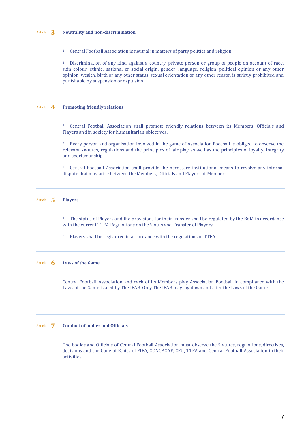# Article **3 Neutrality and non-discrimination**

<sup>1</sup> Central Football Association is neutral in matters of party politics and religion.

<sup>2</sup> Discrimination of any kind against a country, private person or group of people on account of race, skin colour, ethnic, national or social origin, gender, language, religion, political opinion or any other opinion, wealth, birth or any other status, sexual orientation or any other reason is strictly prohibited and punishable by suspension or expulsion.

#### Article **4 Promoting friendly relations**

<sup>1</sup> Central Football Association shall promote friendly relations between its Members, Officials and Players and in society for humanitarian objectives.

<sup>2</sup> Every person and organisation involved in the game of Association Football is obliged to observe the relevant statutes, regulations and the principles of fair play as well as the principles of loyalty, integrity and sportsmanship.

<sup>3</sup> Central Football Association shall provide the necessary institutional means to resolve any internal dispute that may arise between the Members, Officials and Players of Members.

# Article **5 Players**

<sup>1</sup> The status of Players and the provisions for their transfer shall be regulated by the BoM in accordance with the current TTFA Regulations on the Status and Transfer of Players.

<sup>2</sup> Players shall be registered in accordance with the regulations of TTFA.

# Article **6 Laws of the Game**

Central Football Association and each of its Members play Association Football in compliance with the Laws of the Game issued by The IFAB. Only The IFAB may lay down and alter the Laws of the Game.

# Article **7 Conduct of bodies and Officials**

The bodies and Officials of Central Football Association must observe the Statutes, regulations, directives, decisions and the Code of Ethics of FIFA, CONCACAF, CFU, TTFA and Central Football Association in their activities.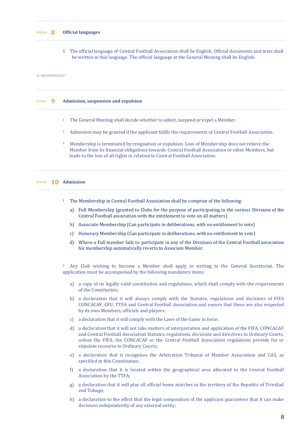#### Article **8 Official languages**

1 The official language of Central Football Association shall be English. Official documents and texts shall be written in this language. The official language at the General Meeting shall be English.

#### **II. MEMBERSHIP**

# Article **9 Admission, suspension and expulsion**

- <sup>1</sup> The General Meeting shall decide whether to admit, suspend or expel a Member.
- <sup>2</sup> Admission may be granted if the applicant fulfils the requirements of Central Football Association.
- <sup>3</sup> Membership is terminated by resignation or expulsion. Loss of Membership does not relieve the Member from its financial obligations towards Central Football Association or other Members, but leads to the loss of all rights in relation to Central Football Association.

# Article **10 Admission**

- The Membership in Central Football Association shall be comprise of the following:
	- a) Full Membership (granted to Clubs for the purpose of participating in the various Divisions of the Central Football association with the entitlement to vote on all matters)
	- b) Associate Membership (Can participate in deliberations, with no entitlement to vote)
	- c) Honorary Membership (Can participate in deliberations, with no entitlement to vote)
	- d) Where a Full member fails to participate in any of the Divisions of the Central Football association his membership automatically reverts to Associate Member.

<sup>2</sup> Any Club wishing to become a Member shall apply in writing to the General Secretariat. The application must be accompanied by the following mandatory items:

- a) a copy of its legally valid constitution and regulations, which shall comply with the requirements of the Constitution;
- b) a declaration that it will always comply with the Statutes, regulations and decisions of FIFA CONCACAF, CFU, TTFA and Central Football Association and ensure that these are also respected by its own Members, officials and players;
- c) a declaration that it will comply with the Laws of the Game in force;
- d) a declaration that it will not take matters of interpretation and application of the FIFA, CONCACAF and Central Football Association Statutes, regulations, decisions and directives to Ordinary Courts, unless the FIFA, the CONCACAF or the Central Football Association regulations provide for or stipulate recourse to Ordinary Courts;
- e) a declaration that it recognises the Arbitration Tribunal of Member Association and CAS, as specified in this Constitution;
- f) a declaration that it is located within the geographical area allocated to the Central Football Association by the TTFA;
- g) a declaration that it will play all official home matches in the territory of the Republic of Trinidad and Tobago;
- h) a declaration to the effect that the legal composition of the applicant guarantees that it can make decisions independently of any external entity;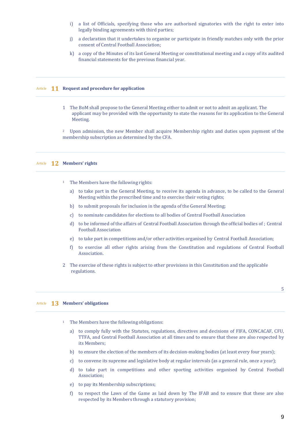- i) a list of Officials, specifying those who are authorised signatories with the right to enter into legally binding agreements with third parties;
- j) a declaration that it undertakes to organise or participate in friendly matches only with the prior consent of Central Football Association;
- k) a copy of the Minutes of its last General Meeting or constitutional meeting and a copy of its audited financial statements for the previous financial year.

# Article **11 Request and procedure for application**

1 The BoM shall propose to the General Meeting either to admit or not to admit an applicant. The applicant may be provided with the opportunity to state the reasons for its application to the General Meeting.

<sup>2</sup> Upon admission, the new Member shall acquire Membership rights and duties upon payment of the membership subscription as determined by the CFA.

#### Article **12 Members' rights**

- <sup>1</sup> The Members have the following rights:
	- a) to take part in the General Meeting, to receive its agenda in advance, to be called to the General Meeting within the prescribed time and to exercise their voting rights;
	- b) to submit proposals for inclusion in the agenda of the General Meeting;
	- c) to nominate candidates for elections to all bodies of Central Football Association
	- d) to be informed of the affairs of Central Football Association through the official bodies of ; Central Football Association
	- e) to take part in competitions and/or other activities organised by Central Football Association;
	- f) to exercise all other rights arising from the Constitution and regulations of Central Football Association.
- 2 The exercise of these rights is subject to other provisions in this Constitution and the applicable regulations.

# Article **13 Members' obligations**

- The Members have the following obligations:
	- a) to comply fully with the Statutes, regulations, directives and decisions of FIFA, CONCACAF, CFU, TTFA, and Central Football Association at all times and to ensure that these are also respected by its Members;
	- b) to ensure the election of the members of its decision-making bodies (at least every four years);
	- c) to convene its supreme and legislative body at regular intervals (as a general rule, once a year);
	- d) to take part in competitions and other sporting activities organised by Central Football Association;
	- e) to pay its Membership subscriptions;
	- f) to respect the Laws of the Game as laid down by The IFAB and to ensure that these are also respected by its Members through a statutory provision;

5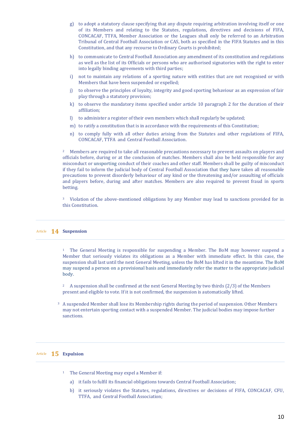- g) to adopt a statutory clause specifying that any dispute requiring arbitration involving itself or one of its Members and relating to the Statutes, regulations, directives and decisions of FIFA, CONCACAF, TTFA, Member Association or the Leagues shall only be referred to an Arbitration Tribunal of Central Football Association or CAS, both as specified in the FIFA Statutes and in this Constitution, and that any recourse to Ordinary Courts is prohibited;
- h) to communicate to Central Football Association any amendment of its constitution and regulations as well as the list of its Officials or persons who are authorised signatories with the right to enter into legally binding agreements with third parties;
- i) not to maintain any relations of a sporting nature with entities that are not recognised or with Members that have been suspended or expelled;
- j) to observe the principles of loyalty, integrity and good sporting behaviour as an expression of fair play through a statutory provision;
- k) to observe the mandatory items specified under article 10 paragraph 2 for the duration of their affiliation;
- l) to administer a register of their own members which shall regularly be updated;
- m) to ratify a constitution that is in accordance with the requirements of this Constitution;
- n) to comply fully with all other duties arising from the Statutes and other regulations of FIFA, CONCACAF, TTFA and Central Football Association.

<sup>2</sup> Members are required to take all reasonable precautions necessary to prevent assaults on players and officials before, during or at the conclusion of matches. Members shall also be held responsible for any misconduct or unsporting conduct of their coaches and other staff. Members shall be guilty of misconduct if they fail to inform the judicial body of Central Football Association that they have taken all reasonable precautions to prevent disorderly behaviour of any kind or the threatening and/or assaulting of officials and players before, during and after matches. Members are also required to prevent fraud in sports betting.

<sup>3</sup> Violation of the above-mentioned obligations by any Member may lead to sanctions provided for in this Constitution.

#### Article **14 Suspension**

<sup>1</sup> The General Meeting is responsible for suspending a Member. The BoM may however suspend a Member that seriously violates its obligations as a Member with immediate effect. In this case, the suspension shall last until the next General Meeting, unless the BoM has lifted it in the meantime. The BoM may suspend a person on a provisional basis and immediately refer the matter to the appropriate judicial body.

<sup>2</sup> A suspension shall be confirmed at the next General Meeting by two thirds (2/3) of the Members present and eligible to vote. If it is not confirmed, the suspension is automatically lifted.

<sup>3</sup> A suspended Member shall lose its Membership rights during the period of suspension. Other Members may not entertain sporting contact with a suspended Member. The judicial bodies may impose further sanctions.

# Article **15 Expulsion**

- <sup>1</sup> The General Meeting may expel a Member if:
	- a) it fails to fulfil its financial obligations towards Central Football Association;
	- b) it seriously violates the Statutes, regulations, directives or decisions of FIFA, CONCACAF, CFU, TTFA, and Central Football Association;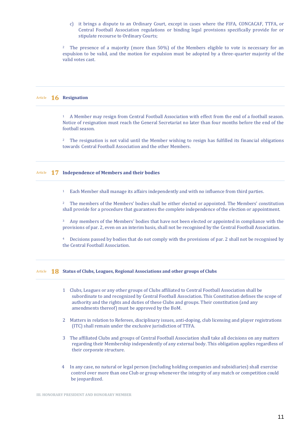c) it brings a dispute to an Ordinary Court, except in cases where the FIFA, CONCACAF, TTFA, or Central Football Association regulations or binding legal provisions specifically provide for or stipulate recourse to Ordinary Courts;

<sup>2</sup> The presence of a majority (more than 50%) of the Members eligible to vote is necessary for an expulsion to be valid, and the motion for expulsion must be adopted by a three-quarter majority of the valid votes cast.

# Article **16 Resignation**

<sup>1</sup> A Member may resign from Central Football Association with effect from the end of a football season. Notice of resignation must reach the General Secretariat no later than four months before the end of the football season.

<sup>2</sup> The resignation is not valid until the Member wishing to resign has fulfilled its financial obligations towards Central Football Association and the other Members.

# Article **17 Independence of Members and their bodies**

<sup>1</sup> Each Member shall manage its affairs independently and with no influence from third parties.

<sup>2</sup> The members of the Members' bodies shall be either elected or appointed. The Members' constitution shall provide for a procedure that guarantees the complete independence of the election or appointment.

<sup>3</sup> Any members of the Members' bodies that have not been elected or appointed in compliance with the provisions of par. 2, even on an interim basis, shall not be recognised by the Central Football Association.

<sup>4</sup> Decisions passed by bodies that do not comply with the provisions of par. 2 shall not be recognised by the Central Football Association.

Article **18 Status of Clubs, Leagues, Regional Associations and other groups of Clubs**

- 1 Clubs, Leagues or any other groups of Clubs affiliated to Central Football Association shall be subordinate to and recognized by Central Football Association. This Constitution defines the scope of authority and the rights and duties of these Clubs and groups. Their constitution (and any amendments thereof) must be approved by the BoM.
- 2 Matters in relation to Referees, disciplinary issues, anti-doping, club licensing and player registrations (ITC) shall remain under the exclusive jurisdiction of TTFA.
- 3 The affiliated Clubs and groups of Central Football Association shall take all decisions on any matters regarding their Membership independently of any external body. This obligation applies regardless of their corporate structure.
- 4 In any case, no natural or legal person (including holding companies and subsidiaries) shall exercise control over more than one Club or group whenever the integrity of any match or competition could be jeopardized.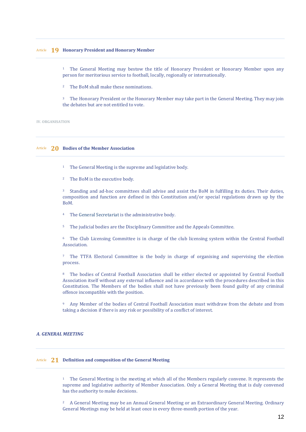<sup>1</sup> The General Meeting may bestow the title of Honorary President or Honorary Member upon any person for meritorious service to football, locally, regionally or internationally.

<sup>2</sup> The BoM shall make these nominations.

<sup>3</sup> The Honorary President or the Honorary Member may take part in the General Meeting. They may join the debates but are not entitled to vote.

**IV. ORGANISATION**

# Article **20 Bodies of the Member Association**

- <sup>1</sup> The General Meeting is the supreme and legislative body.
- <sup>2</sup> The BoM is the executive body.

<sup>3</sup> Standing and ad-hoc committees shall advise and assist the BoM in fulfilling its duties. Their duties, composition and function are defined in this Constitution and/or special regulations drawn up by the BoM.

- <sup>4</sup> The General Secretariat is the administrative body.
- <sup>5</sup> The judicial bodies are the Disciplinary Committee and the Appeals Committee.

<sup>6</sup> The Club Licensing Committee is in charge of the club licensing system within the Central Football Association.

<sup>7</sup> The TTFA Electoral Committee is the body in charge of organising and supervising the election process.

<sup>8</sup> The bodies of Central Football Association shall be either elected or appointed by Central Football Association itself without any external influence and in accordance with the procedures described in this Constitution. The Members of the bodies shall not have previously been found guilty of any criminal offence incompatible with the position.

<sup>9</sup> Any Member of the bodies of Central Football Association must withdraw from the debate and from taking a decision if there is any risk or possibility of a conflict of interest.

# *A. GENERAL MEETING*

# Article **21 Definition and composition of the General Meeting**

<sup>1</sup> The General Meeting is the meeting at which all of the Members regularly convene. It represents the supreme and legislative authority of Member Association. Only a General Meeting that is duly convened has the authority to make decisions.

<sup>2</sup> A General Meeting may be an Annual General Meeting or an Extraordinary General Meeting. Ordinary General Meetings may be held at least once in every three-month portion of the year.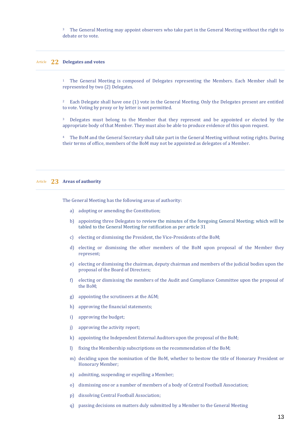<sup>3</sup> The General Meeting may appoint observers who take part in the General Meeting without the right to debate or to vote.

# Article **22 Delegates and votes**

<sup>1</sup> The General Meeting is composed of Delegates representing the Members. Each Member shall be represented by two (2) Delegates.

<sup>2</sup> Each Delegate shall have one (1) vote in the General Meeting. Only the Delegates present are entitled to vote. Voting by proxy or by letter is not permitted.

<sup>3</sup> Delegates must belong to the Member that they represent and be appointed or elected by the appropriate body of that Member. They must also be able to produce evidence of this upon request.

<sup>4</sup> The BoM and the General Secretary shall take part in the General Meeting without voting rights. During their terms of office, members of the BoM may not be appointed as delegates of a Member.

# Article **23 Areas of authority**

The General Meeting has the following areas of authority:

- a) adopting or amending the Constitution;
- b) appointing three Delegates to review the minutes of the foregoing General Meeting; which will be tabled to the General Meeting for ratification as per article 31
- c) electing or dismissing the President, the Vice-Presidents of the BoM;
- d) electing or dismissing the other members of the BoM upon proposal of the Member they represent;
- e) electing or dismissing the chairman, deputy chairman and members of the judicial bodies upon the proposal of the Board of Directors;
- f) electing or dismissing the members of the Audit and Compliance Committee upon the proposal of the BoM;
- g) appointing the scrutineers at the AGM;
- h) approving the financial statements;
- i) approving the budget;
- j) approving the activity report;
- k) appointing the Independent External Auditors upon the proposal of the BoM;
- l) fixing the Membership subscriptions on the recommendation of the BoM;
- m) deciding upon the nomination of the BoM, whether to bestow the title of Honorary President or Honorary Member;
- n) admitting, suspending or expelling a Member;
- o) dismissing one or a number of members of a body of Central Football Association;
- p) dissolving Central Football Association;
- q) passing decisions on matters duly submitted by a Member to the General Meeting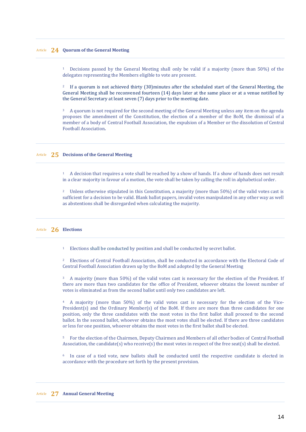# Article **24 Quorum of the General Meeting**

<sup>1</sup> Decisions passed by the General Meeting shall only be valid if a majority (more than 50%) of the delegates representing the Members eligible to vote are present.

<sup>2</sup> If a quorum is not achieved thirty (30)minutes after the scheduled start of the General Meeting, the General Meeting shall be reconvened fourteen (14) days later at the same place or at a venue notified by the General Secretary at least seven (7) days prior to the meeting date.

<sup>3</sup> A quorum is not required for the second meeting of the General Meeting unless any item on the agenda proposes the amendment of the Constitution, the election of a member of the BoM, the dismissal of a member of a body of Central Football Association, the expulsion of a Member or the dissolution of Central Football Association*.*

# Article **25 Decisions of the General Meeting**

<sup>1</sup> A decision that requires a vote shall be reached by a show of hands. If a show of hands does not result in a clear majority in favour of a motion, the vote shall be taken by calling the roll in alphabetical order.

<sup>2</sup> Unless otherwise stipulated in this Constitution, a majority (more than 50%) of the valid votes cast is sufficient for a decision to be valid. Blank ballot papers, invalid votes manipulated in any other way as well as abstentions shall be disregarded when calculating the majority.

# Article **26 Elections**

<sup>1</sup> Elections shall be conducted by position and shall be conducted by secret ballot.

<sup>2</sup> Elections of Central Football Association, shall be conducted in accordance with the Electoral Code of Central Football Association drawn up by the BoM and adopted by the General Meeting

<sup>3</sup> A majority (more than 50%) of the valid votes cast is necessary for the election of the President. If there are more than two candidates for the office of President, whoever obtains the lowest number of votes is eliminated as from the second ballot until only two candidates are left.

<sup>4</sup> A majority (more than 50%) of the valid votes cast is necessary for the election of the Vice-President(s) and the Ordinary Member(s) of the BoM. If there are more than three candidates for one position, only the three candidates with the most votes in the first ballot shall proceed to the second ballot. In the second ballot, whoever obtains the most votes shall be elected. If there are three candidates or less for one position, whoever obtains the most votes in the first ballot shall be elected.

<sup>5</sup> For the election of the Chairmen, Deputy Chairmen and Members of all other bodies of Central Football Association, the candidate(s) who receive(s) the most votes in respect of the free seat(s) shall be elected.

<sup>6</sup> In case of a tied vote, new ballots shall be conducted until the respective candidate is elected in accordance with the procedure set forth by the present provision.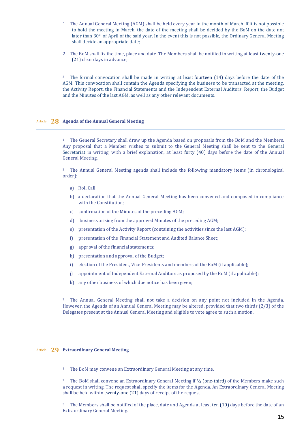- 1 The Annual General Meeting (AGM) shall be held every year in the month of March. If it is not possible to hold the meeting in March, the date of the meeting shall be decided by the BoM on the date not later than 30<sup>th</sup> of April of the said year. In the event this is not possible, the Ordinary General Meeting shall decide an appropriate date;
- 2 The BoM shall fix the time, place and date. The Members shall be notified in writing at least twenty-one (21) clear days in advance;

<sup>3</sup> The formal convocation shall be made in writing at least fourteen (14) days before the date of the AGM. This convocation shall contain the Agenda specifying the business to be transacted at the meeting, the Activity Report, the Financial Statements and the Independent External Auditors' Report, the Budget and the Minutes of the last AGM, as well as any other relevant documents.

# Article **28 Agenda of the Annual General Meeting**

<sup>1</sup> The General Secretary shall draw up the Agenda based on proposals from the BoM and the Members. Any proposal that a Member wishes to submit to the General Meeting shall be sent to the General Secretariat in writing, with a brief explanation, at least forty (40) days before the date of the Annual General Meeting.

<sup>2</sup> The Annual General Meeting agenda shall include the following mandatory items (in chronological order):

- a) Roll Call
- b) a declaration that the Annual General Meeting has been convened and composed in compliance with the Constitution;
- c) confirmation of the Minutes of the preceding AGM;
- d) business arising from the approved Minutes of the preceding AGM;
- e) presentation of the Activity Report (containing the activities since the last AGM);
- f) presentation of the Financial Statement and Audited Balance Sheet;
- g) approval of the financial statements;
- h) presentation and approval of the Budget;
- i) election of the President, Vice-Presidents and members of the BoM (if applicable);
- j) appointment of Independent External Auditors as proposed by the BoM (if applicable);
- k) any other business of which due notice has been given;

<sup>3</sup> The Annual General Meeting shall not take a decision on any point not included in the Agenda. However, the Agenda of an Annual General Meeting may be altered, provided that two thirds (2/3) of the Delegates present at the Annual General Meeting and eligible to vote agree to such a motion.

# Article **29 Extraordinary General Meeting**

<sup>1</sup> The BoM may convene an Extraordinary General Meeting at any time.

<sup>2</sup> The BoM shall convene an Extraordinary General Meeting if ⅓ (one-third) of the Members make such a request in writing. The request shall specify the items for the Agenda. An Extraordinary General Meeting shall be held within twenty-one (21) days of receipt of the request.

<sup>3</sup> The Members shall be notified of the place, date and Agenda at least ten (10) days before the date of an Extraordinary General Meeting.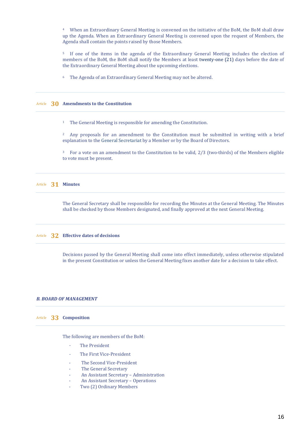<sup>4</sup> When an Extraordinary General Meeting is convened on the initiative of the BoM, the BoM shall draw up the Agenda. When an Extraordinary General Meeting is convened upon the request of Members, the Agenda shall contain the points raised by those Members.

<sup>5</sup> If one of the items in the agenda of the Extraordinary General Meeting includes the election of members of the BoM, the BoM shall notify the Members at least twenty-one (21) days before the date of the Extraordinary General Meeting about the upcoming elections.

<sup>6</sup> The Agenda of an Extraordinary General Meeting may not be altered.

# Article **30 Amendments to the Constitution**

<sup>1</sup> The General Meeting is responsible for amending the Constitution.

<sup>2</sup> Any proposals for an amendment to the Constitution must be submitted in writing with a brief explanation to the General Secretariat by a Member or by the Board of Directors.

<sup>3</sup> For a vote on an amendment to the Constitution to be valid, 2/3 (two-thirds) of the Members eligible to vote must be present.

Article **31 Minutes**

The General Secretary shall be responsible for recording the Minutes at the General Meeting. The Minutes shall be checked by those Members designated, and finally approved at the next General Meeting.

#### Article **32 Effective dates of decisions**

Decisions passed by the General Meeting shall come into effect immediately, unless otherwise stipulated in the present Constitution or unless the General Meeting fixes another date for a decision to take effect.

# *B. BOARD OF MANAGEMENT*

# Article **33 Composition**

The following are members of the BoM:

- The President
- The First Vice-President
- The Second Vice-President
- The General Secretary
- An Assistant Secretary Administration
- An Assistant Secretary Operations
- Two (2) Ordinary Members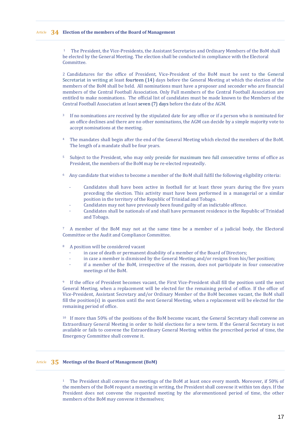1 The President, the Vice-Presidents, the Assistant Secretaries and Ordinary Members of the BoM shall be elected by the General Meeting. The election shall be conducted in compliance with the Electoral Committee.

2 Candidatures for the office of President, Vice-President of the BoM must be sent to the General Secretariat in writing at least fourteen (14) days before the General Meeting at which the election of the members of the BoM shall be held. All nominations must have a proposer and seconder who are financial members of the Central Football Association. Only Full members of the Central Football Association are entitled to make nominations. The official list of candidates must be made known to the Members of the Central Football Association at least seven (7) days before the date of the AGM.

- <sup>3</sup> If no nominations are received by the stipulated date for any office or if a person who is nominated for an office declines and there are no other nominations, the AGM can decide by a simple majority vote to accept nominations at the meeting.
- <sup>4</sup> The mandates shall begin after the end of the General Meeting which elected the members of the BoM. The length of a mandate shall be four years.
- <sup>5</sup> Subject to the President, who may only preside for maximum two full consecutive terms of office as President, the members of the BoM may be re-elected repeatedly.
- <sup>6</sup> Any candidate that wishes to become a member of the BoM shall fulfil the following eligibility criteria:
	- Candidates shall have been active in football for at least three years during the five years preceding the election. This activity must have been performed in a managerial or a similar position in the territory of the Republic of Trinidad and Tobago.
	- Candidates may not have previously been found guilty of an indictable offence.
	- Candidates shall be nationals of and shall have permanent residence in the Republic of Trinidad and Tobago.

<sup>7</sup> A member of the BoM may not at the same time be a member of a judicial body, the Electoral Committee or the Audit and Compliance Committee.

- <sup>8</sup> A position will be considered vacant
	- in case of death or permanent disability of a member of the Board of Directors;
	- in case a member is dismissed by the General Meeting and/or resigns from his/her position;
	- if a member of the BoM, irrespective of the reason, does not participate in four consecutive meetings of the BoM.

<sup>9</sup> If the office of President becomes vacant, the First Vice-President shall fill the position until the next General Meeting, when a replacement will be elected for the remaining period of office. If the office of Vice-President, Assistant Secretary and/or Ordinary Member of the BoM becomes vacant, the BoM shall fill the position(s) in question until the next General Meeting, when a replacement will be elected for the remaining period of office.

<sup>10</sup> If more than 50% of the positions of the BoM become vacant, the General Secretary shall convene an Extraordinary General Meeting in order to hold elections for a new term. If the General Secretary is not available or fails to convene the Extraordinary General Meeting within the prescribed period of time, the Emergency Committee shall convene it.

# Article **35 Meetings of the Board of Management (BoM)**

<sup>1</sup> The President shall convene the meetings of the BoM at least once every month. Moreover, if 50% of the members of the BoM request a meeting in writing, the President shall convene it within ten days. If the President does not convene the requested meeting by the aforementioned period of time, the other members of the BoM may convene it themselves;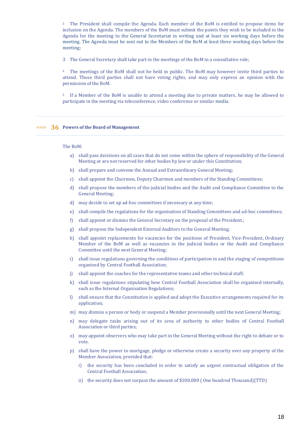<sup>2</sup> The President shall compile the Agenda. Each member of the BoM is entitled to propose items for inclusion on the Agenda. The members of the BoM must submit the points they wish to be included in the Agenda for the meeting to the General Secretariat in writing and at least six working days before the meeting. The Agenda must be sent out to the Members of the BoM at least three working days before the meeting;

3 The General Secretary shall take part in the meetings of the BoM in a consultative role;

<sup>4</sup> The meetings of the BoM shall not be held in public. The BoM may however invite third parties to attend. Those third parties shall not have voting rights, and may only express an opinion with the permission of the BoM.

<sup>5</sup> If a Member of the BoM is unable to attend a meeting due to private matters, he may be allowed to participate in the meeting via teleconference, video conference or similar media.

# Article **36 Powers of the Board of Management**

#### The BoM:

- a) shall pass decisions on all cases that do not come within the sphere of responsibility of the General Meeting or are not reserved for other bodies by law or under this Constitution;
- b) shall prepare and convene the Annual and Extraordinary General Meeting;
- c) shall appoint the Chairmen, Deputy Chairmen and members of the Standing Committees;
- d) shall propose the members of the judicial bodies and the Audit and Compliance Committee to the General Meeting;
- d) may decide to set up ad-hoc committees if necessary at any time;
- e) shall compile the regulations for the organisation of Standing Committees and ad-hoc committees;
- f) shall appoint or dismiss the General Secretary on the proposal of the President.;
- g) shall propose the Independent External Auditors to the General Meeting;
- h) shall appoint replacements for vacancies for the positions of President, Vice-President, Ordinary Member of the BoM as well as vacancies in the judicial bodies or the Audit and Compliance Committee until the next General Meeting;
- i) shall issue regulations governing the conditions of participation in and the staging of competitions organised by Central Football Association;
- j) shall appoint the coaches for the representative teams and other technical staff;
- k) shall issue regulations stipulating how Central Football Association shall be organised internally, such as the Internal Organisation Regulations;
- l) shall ensure that the Constitution is applied and adopt the Executive arrangements required for its application;
- m) may dismiss a person or body or suspend a Member provisionally until the next General Meeting;
- n) may delegate tasks arising out of its area of authority to other bodies of Central Football Association or third parties;
- o) may appoint observers who may take part in the General Meeting without the right to debate or to vote.
- p) shall have the power to mortgage, pledge or otherwise create a security over any property of the Member Association, provided that:
	- i) the security has been concluded in order to satisfy an urgent contractual obligation of the Central Football Association;
	- ii) the security does not surpass the amount of \$100,000 ( One hundred Thousand)(TTD)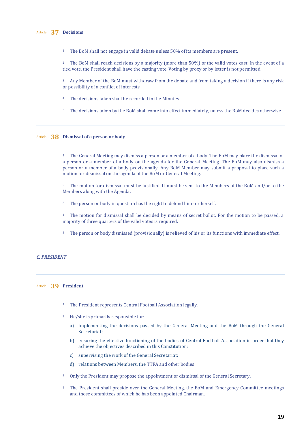<sup>1</sup> The BoM shall not engage in valid debate unless 50% of its members are present.

<sup>2</sup> The BoM shall reach decisions by a majority (more than 50%) of the valid votes cast. In the event of a tied vote, the President shall have the casting vote. Voting by proxy or by letter is not permitted.

<sup>3</sup> Any Member of the BoM must withdraw from the debate and from taking a decision if there is any risk or possibility of a conflict of interests

- <sup>4</sup> The decisions taken shall be recorded in the Minutes.
- <sup>5</sup> The decisions taken by the BoM shall come into effect immediately, unless the BoM decides otherwise.

# Article **38 Dismissal of a person or body**

<sup>1</sup> The General Meeting may dismiss a person or a member of a body. The BoM may place the dismissal of a person or a member of a body on the agenda for the General Meeting. The BoM may also dismiss a person or a member of a body provisionally. Any BoM Member may submit a proposal to place such a motion for dismissal on the agenda of the BoM or General Meeting.

<sup>2</sup> The motion for dismissal must be justified. It must be sent to the Members of the BoM and/or to the Members along with the Agenda.

<sup>3</sup> The person or body in question has the right to defend him- or herself.

<sup>4</sup> The motion for dismissal shall be decided by means of secret ballot. For the motion to be passed, a majority of three quarters of the valid votes is required.

<sup>5</sup> The person or body dismissed (provisionally) is relieved of his or its functions with immediate effect.

# *C. PRESIDENT*

#### Article **39 President**

- <sup>1</sup> The President represents Central Football Association legally.
- <sup>2</sup> He/she is primarily responsible for:
	- a) implementing the decisions passed by the General Meeting and the BoM through the General Secretariat;
	- b) ensuring the effective functioning of the bodies of Central Football Association in order that they achieve the objectives described in this Constitution;
	- c) supervising the work of the General Secretariat;
	- d) relations between Members, the TTFA and other bodies
- <sup>3</sup> Only the President may propose the appointment or dismissal of the General Secretary.
- <sup>4</sup> The President shall preside over the General Meeting, the BoM and Emergency Committee meetings and those committees of which he has been appointed Chairman.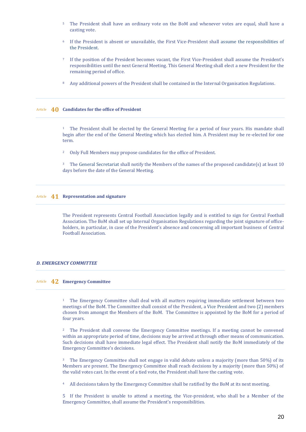- <sup>5</sup> The President shall have an ordinary vote on the BoM and whenever votes are equal, shall have a casting vote.
- <sup>6</sup> If the President is absent or unavailable, the First Vice-President shall assume the responsibilities of the President.
- <sup>7</sup> If the position of the President becomes vacant, the First Vice-President shall assume the President's responsibilities until the next General Meeting. This General Meeting shall elect a new President for the remaining period of office.
- <sup>8</sup> Any additional powers of the President shall be contained in the Internal Organisation Regulations.

# Article **40 Candidates for the office of President**

<sup>1</sup> The President shall be elected by the General Meeting for a period of four years. His mandate shall begin after the end of the General Meeting which has elected him. A President may be re-elected for one term.

<sup>2</sup> Only Full Members may propose candidates for the office of President.

<sup>3</sup> The General Secretariat shall notify the Members of the names of the proposed candidate(s) at least 10 days before the date of the General Meeting.

#### Article **41 Representation and signature**

The President represents Central Football Association legally and is entitled to sign for Central Football Association. The BoM shall set up Internal Organisation Regulations regarding the joint signature of officeholders, in particular, in case of the President's absence and concerning all important business of Central Football Association.

# *D. EMERGENCY COMMITTEE*

#### Article **42 Emergency Committee**

<sup>1</sup> The Emergency Committee shall deal with all matters requiring immediate settlement between two meetings of the BoM. The Committee shall consist of the President, a Vice President and two (2) members chosen from amongst the Members of the BoM. The Committee is appointed by the BoM for a period of four years.

<sup>2</sup> The President shall convene the Emergency Committee meetings. If a meeting cannot be convened within an appropriate period of time, decisions may be arrived at through other means of communication. Such decisions shall have immediate legal effect. The President shall notify the BoM immediately of the Emergency Committee's decisions.

<sup>3</sup> The Emergency Committee shall not engage in valid debate unless a majority (more than 50%) of its Members are present. The Emergency Committee shall reach decisions by a majority (more than 50%) of the valid votes cast. In the event of a tied vote, the President shall have the casting vote.

<sup>4</sup> All decisions taken by the Emergency Committee shall be ratified by the BoM at its next meeting.

5 If the President is unable to attend a meeting, the Vice-president, who shall be a Member of the Emergency Committee, shall assume the President's responsibilities.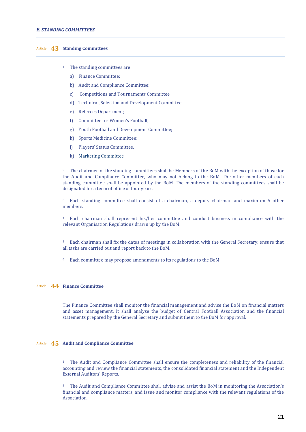# Article **43 Standing Committees**

- <sup>1</sup> The standing committees are:
	- a) Finance Committee;
	- b) Audit and Compliance Committee;
	- c) Competitions and Tournaments Committee
	- d) Technical, Selection and Development Committee
	- e) Referees Department;
	- f) Committee for Women's Football;
	- g) Youth Football and Development Committee;
	- h) Sports Medicine Committee;
	- j) Players' Status Committee.
	- k) Marketing Committee

<sup>2</sup> The chairmen of the standing committees shall be Members of the BoM with the exception of those for the Audit and Compliance Committee, who may not belong to the BoM. The other members of each standing committee shall be appointed by the BoM. The members of the standing committees shall be designated for a term of office of four years.

<sup>3</sup> Each standing committee shall consist of a chairman, a deputy chairman and maximum 5 other members.

<sup>4</sup> Each chairman shall represent his/her committee and conduct business in compliance with the relevant Organisation Regulations drawn up by the BoM.

<sup>5</sup> Each chairman shall fix the dates of meetings in collaboration with the General Secretary, ensure that all tasks are carried out and report back to the BoM.

<sup>6</sup> Each committee may propose amendments to its regulations to the BoM.

# Article **44 Finance Committee**

The Finance Committee shall monitor the financial management and advise the BoM on financial matters and asset management. It shall analyse the budget of Central Football Association and the financial statements prepared by the General Secretary and submit them to the BoM for approval.

# Article **45 Audit and Compliance Committee**

<sup>1</sup> The Audit and Compliance Committee shall ensure the completeness and reliability of the financial accounting and review the financial statements, the consolidated financial statement and the Independent External Auditors' Reports.

<sup>2</sup> The Audit and Compliance Committee shall advise and assist the BoM in monitoring the Association's financial and compliance matters, and issue and monitor compliance with the relevant regulations of the Association.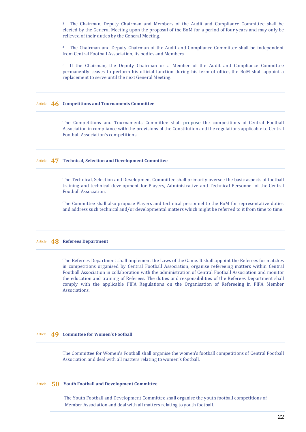<sup>3</sup> The Chairman, Deputy Chairman and Members of the Audit and Compliance Committee shall be elected by the General Meeting upon the proposal of the BoM for a period of four years and may only be relieved of their duties by the General Meeting.

<sup>4</sup> The Chairman and Deputy Chairman of the Audit and Compliance Committee shall be independent from Central Football Association, its bodies and Members.

<sup>5</sup> If the Chairman, the Deputy Chairman or a Member of the Audit and Compliance Committee permanently ceases to perform his official function during his term of office, the BoM shall appoint a replacement to serve until the next General Meeting.

# Article **46 Competitions and Tournaments Committee**

The Competitions and Tournaments Committee shall propose the competitions of Central Football Association in compliance with the provisions of the Constitution and the regulations applicable to Central Football Association's competitions.

# Article **47 Technical, Selection and Development Committee**

The Technical, Selection and Development Committee shall primarily oversee the basic aspects of football training and technical development for Players, Administrative and Technical Personnel of the Central Football Association.

The Committee shall also propose Players and technical personnel to the BoM for representative duties and address such technical and/or developmental matters which might be referred to it from time to time.

#### Article **48 Referees Department**

The Referees Department shall implement the Laws of the Game. It shall appoint the Referees for matches in competitions organised by Central Football Association, organise refereeing matters within Central Football Association in collaboration with the administration of Central Football Association and monitor the education and training of Referees. The duties and responsibilities of the Referees Department shall comply with the applicable FIFA Regulations on the Organisation of Refereeing in FIFA Member Associations.

#### Article **49 Committee for Women's Football**

The Committee for Women's Football shall organise the women's football competitions of Central Football Association and deal with all matters relating to women's football.

# Article **50 Youth Football and Development Committee**

 The Youth Football and Development Committee shall organise the youth football competitions of Member Association and deal with all matters relating to youth football.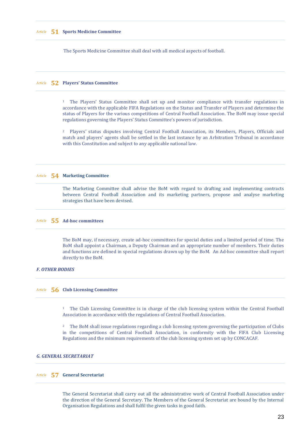#### Article **51 Sports Medicine Committee**

The Sports Medicine Committee shall deal with all medical aspects of football.

# Article **52 Players' Status Committee**

<sup>1</sup> The Players' Status Committee shall set up and monitor compliance with transfer regulations in accordance with the applicable FIFA Regulations on the Status and Transfer of Players and determine the status of Players for the various competitions of Central Football Association. The BoM may issue special regulations governing the Players' Status Committee's powers of jurisdiction.

<sup>2</sup> Players' status disputes involving Central Football Association, its Members, Players, Officials and match and players' agents shall be settled in the last instance by an Arbitration Tribunal in accordance with this Constitution and subject to any applicable national law.

#### Article **54 Marketing Committee**

The Marketing Committee shall advise the BoM with regard to drafting and implementing contracts between Central Football Association and its marketing partners, propose and analyse marketing strategies that have been devised.

# Article **55 Ad-hoc committees**

The BoM may, if necessary, create ad-hoc committees for special duties and a limited period of time. The BoM shall appoint a Chairman, a Deputy Chairman and an appropriate number of members. Their duties and functions are defined in special regulations drawn up by the BoM. An Ad-hoc committee shall report directly to the BoM.

# *F. OTHER BODIES*

# Article **56 Club Licensing Committee**

<sup>1</sup> The Club Licensing Committee is in charge of the club licensing system within the Central Football Association in accordance with the regulations of Central Football Association.

<sup>2</sup> The BoM shall issue regulations regarding a club licensing system governing the participation of Clubs in the competitions of Central Football Association, in conformity with the FIFA Club Licensing Regulations and the minimum requirements of the club licensing system set up by CONCACAF.

# *G. GENERAL SECRETARIAT*

#### Article **57 General Secretariat**

The General Secretariat shall carry out all the administrative work of Central Football Association under the direction of the General Secretary. The Members of the General Secretariat are bound by the Internal Organisation Regulations and shall fulfil the given tasks in good faith.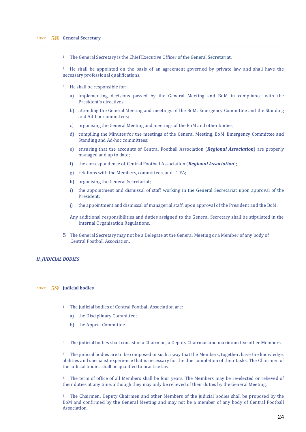# Article **58 General Secretary**

<sup>1</sup> The General Secretary is the Chief Executive Officer of the General Secretariat.

<sup>2</sup> He shall be appointed on the basis of an agreement governed by private law and shall have the necessary professional qualifications.

- <sup>3</sup> He shall be responsible for:
	- a) implementing decisions passed by the General Meeting and BoM in compliance with the President's directives;
	- b) attending the General Meeting and meetings of the BoM, Emergency Committee and the Standing and Ad-hoc committees;
	- c) organising the General Meeting and meetings of the BoM and other bodies;
	- d) compiling the Minutes for the meetings of the General Meeting, BoM, Emergency Committee and Standing and Ad-hoc committees;
	- e) ensuring that the accounts of Central Football Association (*Regional Association*) are properly managed and up to date;
	- f) the correspondence of Central Football Association (*Regional Association*);
	- g) relations with the Members, committees, and TTFA;
	- h) organising the General Secretariat;
	- i) the appointment and dismissal of staff working in the General Secretariat upon approval of the President;
	- j) the appointment and dismissal of managerial staff, upon approval of the President and the BoM.

Any additional responsibilities and duties assigned to the General Secretary shall be stipulated in the Internal Organisation Regulations.

5 The General Secretary may not be a Delegate at the General Meeting or a Member of any body of Central Football Association.

# *H. JUDICIAL BODIES*

# Article **59 Judicial bodies**

- <sup>1</sup> The judicial bodies of Central Football Association are:
	- a) the Disciplinary Committee;
	- b) the Appeal Committee.

<sup>2</sup> The judicial bodies shall consist of a Chairman, a Deputy Chairman and maximum five other Members.

<sup>3</sup> The judicial bodies are to be composed in such a way that the Members, together, have the knowledge, abilities and specialist experience that is necessary for the due completion of their tasks. The Chairmen of the judicial bodies shall be qualified to practise law.

<sup>3</sup> The term of office of all Members shall be four years. The Members may be re-elected or relieved of their duties at any time, although they may only be relieved of their duties by the General Meeting.

<sup>4</sup> The Chairmen, Deputy Chairmen and other Members of the judicial bodies shall be proposed by the BoM and confirmed by the General Meeting and may not be a member of any body of Central Football Association.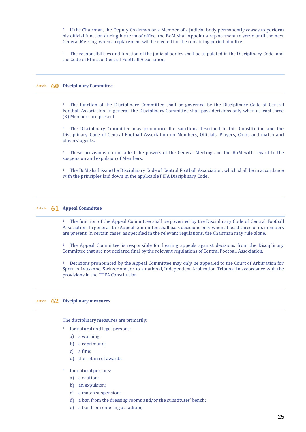<sup>5</sup> If the Chairman, the Deputy Chairman or a Member of a judicial body permanently ceases to perform his official function during his term of office, the BoM shall appoint a replacement to serve until the next General Meeting, when a replacement will be elected for the remaining period of office.

<sup>6</sup> The responsibilities and function of the judicial bodies shall be stipulated in the Disciplinary Code and the Code of Ethics of Central Football Association.

# Article **60 Disciplinary Committee**

<sup>1</sup> The function of the Disciplinary Committee shall be governed by the Disciplinary Code of Central Football Association. In general, the Disciplinary Committee shall pass decisions only when at least three (3) Members are present.

<sup>2</sup> The Disciplinary Committee may pronounce the sanctions described in this Constitution and the Disciplinary Code of Central Football Association on Members, Officials, Players, Clubs and match and players' agents.

<sup>3</sup> These provisions do not affect the powers of the General Meeting and the BoM with regard to the suspension and expulsion of Members.

<sup>4</sup> The BoM shall issue the Disciplinary Code of Central Football Association, which shall be in accordance with the principles laid down in the applicable FIFA Disciplinary Code.

# Article **61 Appeal Committee**

<sup>1</sup> The function of the Appeal Committee shall be governed by the Disciplinary Code of Central Football Association. In general, the Appeal Committee shall pass decisions only when at least three of its members are present. In certain cases, as specified in the relevant regulations, the Chairman may rule alone.

<sup>2</sup> The Appeal Committee is responsible for hearing appeals against decisions from the Disciplinary Committee that are not declared final by the relevant regulations of Central Football Association.

<sup>3</sup> Decisions pronounced by the Appeal Committee may only be appealed to the Court of Arbitration for Sport in Lausanne, Switzerland, or to a national, Independent Arbitration Tribunal in accordance with the provisions in the TTFA Constitution.

# Article **62 Disciplinary measures**

The disciplinary measures are primarily:

- <sup>1</sup> for natural and legal persons:
	- a) a warning;
	- b) a reprimand;
	- c) a fine;
	- d) the return of awards.
- <sup>2</sup> for natural persons:
	- a) a caution;
	- b) an expulsion;
	- c) a match suspension;
	- d) a ban from the dressing rooms and/or the substitutes' bench;
	- e) a ban from entering a stadium;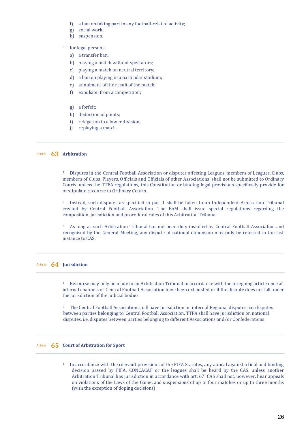- f) a ban on taking part in any football-related activity;
- g) social work;
- h) suspension.

# <sup>3</sup> for legal persons:

- a) a transfer ban;
- b) playing a match without spectators;
- c) playing a match on neutral territory;
- d) a ban on playing in a particular stadium;
- e) annulment of the result of the match;
- f) expulsion from a competition;
- g) a forfeit;
- h) deduction of points;
- i) relegation to a lower division;
- j) replaying a match.

# Article **63 Arbitration**

<sup>1</sup> Disputes in the Central Football Association or disputes affecting Leagues, members of Leagues, Clubs, members of Clubs, Players, Officials and Officials of other Associations, shall not be submitted to Ordinary Courts, unless the TTFA regulations, this Constitution or binding legal provisions specifically provide for or stipulate recourse to Ordinary Courts.

<sup>2</sup> Instead, such disputes as specified in par. 1 shall be taken to an Independent Arbitration Tribunal created by Central Football Association. The BoM shall issue special regulations regarding the composition, jurisdiction and procedural rules of this Arbitration Tribunal.

<sup>3</sup> As long as such Arbitration Tribunal has not been duly installed by Central Football Association and recognised by the General Meeting, any dispute of national dimension may only be referred in the last instance to CAS.

# Article **64 Jurisdiction**

<sup>1</sup> Recourse may only be made to an Arbitration Tribunal in accordance with the foregoing article once all internal channels of Central Football Association have been exhausted or if the dispute does not fall under the jurisdiction of the judicial bodies.

<sup>2</sup> The Central Football Association shall have jurisdiction on internal Regional disputes, i.e. disputes between parties belonging to Central Football Association. TTFA shall have jurisdiction on national disputes, i.e. disputes between parties belonging to different Associations and/or Confederations.

# Article **65 Court of Arbitration for Sport**

<sup>1</sup> In accordance with the relevant provisions of the FIFA Statutes, any appeal against a final and binding decision passed by FIFA, CONCACAF or the leagues shall be heard by the CAS, unless another Arbitration Tribunal has jurisdiction in accordance with art. 67. CAS shall not, however, hear appeals on violations of the Laws of the Game, and suspensions of up to four matches or up to three months (with the exception of doping decisions).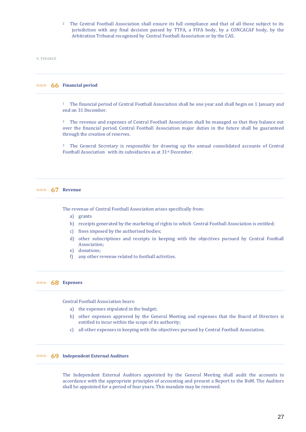<sup>2</sup> The Central Football Association shall ensure its full compliance and that of all those subject to its jurisdiction with any final decision passed by TTFA, a FIFA body, by a CONCACAF body, by the Arbitration Tribunal recognised by Central Football Association or by the CAS.

**V. FINANCE**

# Article **66 Financial period**

<sup>1</sup> The financial period of Central Football Association shall be one year and shall begin on 1 January and end on 31 December.

<sup>2</sup> The revenue and expenses of Central Football Association shall be managed so that they balance out over the financial period. Central Football Association major duties in the future shall be guaranteed through the creation of reserves.

<sup>3</sup> The General Secretary is responsible for drawing up the annual consolidated accounts of Central Football Association with its subsidiaries as at 31st December.

#### Article **67 Revenue**

The revenue of Central Football Association arises specifically from:

- a) grants
- b) receipts generated by the marketing of rights to which Central Football Association is entitled;
- c) fines imposed by the authorised bodies;
- d) other subscriptions and receipts in keeping with the objectives pursued by Central Football Association;
- e) donations;
- f) any other revenue related to football activities.

# Article **68 Expenses**

Central Football Association bears:

- a) the expenses stipulated in the budget;
- b) other expenses approved by the General Meeting and expenses that the Board of Directors is entitled to incur within the scope of its authority;
- c) all other expenses in keeping with the objectives pursued by Central Football Association.

# Article **69 Independent External Auditors**

The Independent External Auditors appointed by the General Meeting shall audit the accounts in accordance with the appropriate principles of accounting and present a Report to the BoM. The Auditors shall be appointed for a period of four years. This mandate may be renewed.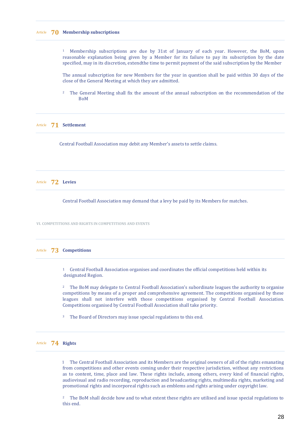#### Article **70 Membership subscriptions**

<sup>1</sup> Membership subscriptions are due by 31st of January of each year. However, the BoM, upon reasonable explanation being given by a Member for its failure to pay its subscription by the date specified, may in its discretion, extendthe time to permit payment of the said subscription by the Member

The annual subscription for new Members for the year in question shall be paid within 30 days of the close of the General Meeting at which they are admitted.

<sup>2</sup> The General Meeting shall fix the amount of the annual subscription on the recommendation of the BoM

Article **71 Settlement**

Central Football Association may debit any Member's assets to settle claims.

Article **72 Levies**

Central Football Association may demand that a levy be paid by its Members for matches.

**VI. COMPETITIONS AND RIGHTS IN COMPETITIONS AND EVENTS**

# Article **73 Competitions**

1 Central Football Association organises and coordinates the official competitions held within its designated Region.

<sup>2</sup> The BoM may delegate to Central Football Association's subordinate leagues the authority to organise competitions by means of a proper and comprehensive agreement. The competitions organised by these leagues shall not interfere with those competitions organised by Central Football Association. Competitions organised by Central Football Association shall take priority.

<sup>3</sup> The Board of Directors may issue special regulations to this end.

Article **74 Rights**

 1 The Central Football Association and its Members are the original owners of all of the rights emanating from competitions and other events coming under their respective jurisdiction, without any restrictions as to content, time, place and law. These rights include, among others, every kind of financial rights, audiovisual and radio recording, reproduction and broadcasting rights, multimedia rights, marketing and promotional rights and incorporeal rights such as emblems and rights arising under copyright law.

<sup>2</sup> The BoM shall decide how and to what extent these rights are utilised and issue special regulations to this end.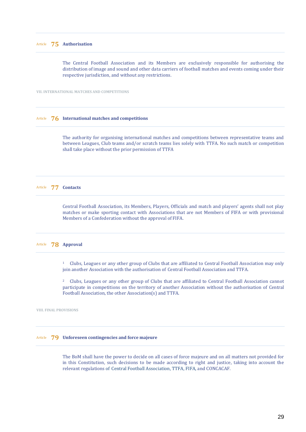The Central Football Association and its Members are exclusively responsible for authorising the distribution of image and sound and other data carriers of football matches and events coming under their respective jurisdiction, and without any restrictions.

**VII. INTERNATIONAL MATCHES AND COMPETITIONS**

# Article **76 International matches and competitions**

The authority for organising international matches and competitions between representative teams and between Leagues, Club teams and/or scratch teams lies solely with TTFA. No such match or competition shall take place without the prior permission of TTFA

#### Article **77 Contacts**

Central Football Association, its Members, Players, Officials and match and players' agents shall not play matches or make sporting contact with Associations that are not Members of FIFA or with provisional Members of a Confederation without the approval of FIFA.

# Article **78 Approval**

<sup>1</sup> Clubs, Leagues or any other group of Clubs that are affiliated to Central Football Association may only join another Association with the authorisation of Central Football Association and TTFA.

<sup>2</sup> Clubs, Leagues or any other group of Clubs that are affiliated to Central Football Association cannot participate in competitions on the territory of another Association without the authorisation of Central Football Association, the other Association(s) and TTFA.

**VIII. FINAL PROVISIONS**

# Article **79 Unforeseen contingencies and force majeure**

The BoM shall have the power to decide on all cases of force majeure and on all matters not provided for in this Constitution, such decisions to be made according to right and justice, taking into account the relevant regulations of Central Football Association, TTFA, FIFA, and CONCACAF.